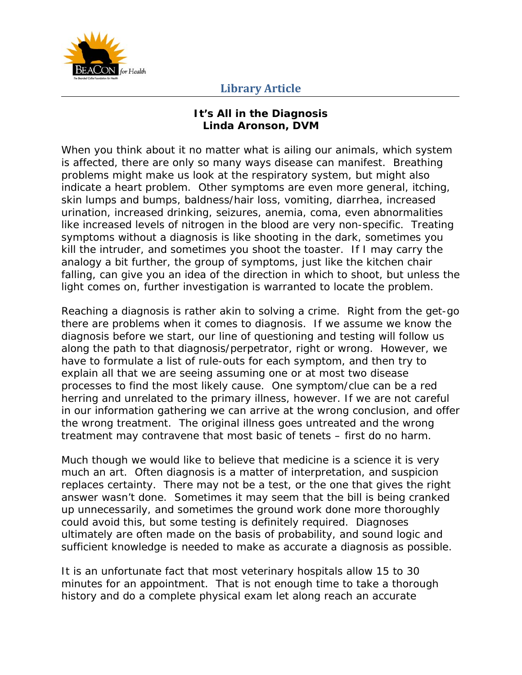

#### **It's All in the Diagnosis Linda Aronson, DVM**

When you think about it no matter what is ailing our animals, which system is affected, there are only so many ways disease can manifest. Breathing problems might make us look at the respiratory system, but might also indicate a heart problem. Other symptoms are even more general, itching, skin lumps and bumps, baldness/hair loss, vomiting, diarrhea, increased urination, increased drinking, seizures, anemia, coma, even abnormalities like increased levels of nitrogen in the blood are very non-specific. Treating symptoms without a diagnosis is like shooting in the dark, sometimes you kill the intruder, and sometimes you shoot the toaster. If I may carry the analogy a bit further, the group of symptoms, just like the kitchen chair falling, can give you an idea of the direction in which to shoot, but unless the light comes on, further investigation is warranted to locate the problem.

Reaching a diagnosis is rather akin to solving a crime. Right from the get-go there are problems when it comes to diagnosis. If we assume we know the diagnosis before we start, our line of questioning and testing will follow us along the path to that diagnosis/perpetrator, right or wrong. However, we have to formulate a list of rule-outs for each symptom, and then try to explain all that we are seeing assuming one or at most two disease processes to find the most likely cause. One symptom/clue can be a red herring and unrelated to the primary illness, however. If we are not careful in our information gathering we can arrive at the wrong conclusion, and offer the wrong treatment. The original illness goes untreated and the wrong treatment may contravene that most basic of tenets – first do no harm.

Much though we would like to believe that medicine is a science it is very much an art. Often diagnosis is a matter of interpretation, and suspicion replaces certainty. There may not be a test, or the one that gives the right answer wasn't done. Sometimes it may seem that the bill is being cranked up unnecessarily, and sometimes the ground work done more thoroughly could avoid this, but some testing is definitely required. Diagnoses ultimately are often made on the basis of probability, and sound logic and sufficient knowledge is needed to make as accurate a diagnosis as possible.

It is an unfortunate fact that most veterinary hospitals allow 15 to 30 minutes for an appointment. That is not enough time to take a thorough history and do a complete physical exam let along reach an accurate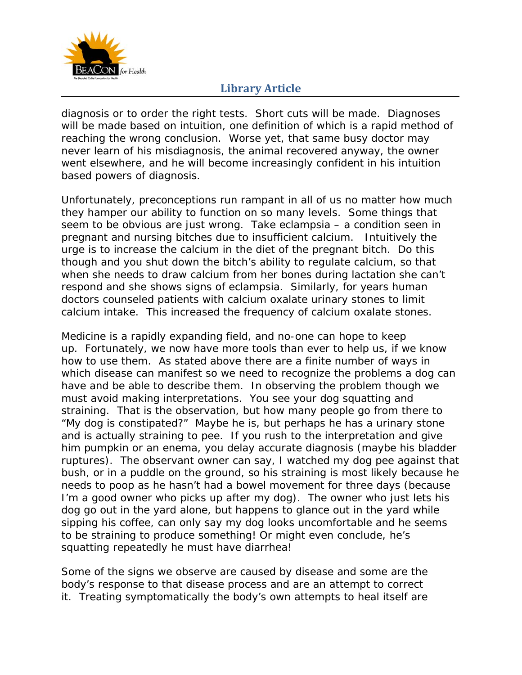

diagnosis or to order the right tests. Short cuts will be made. Diagnoses will be made based on intuition, one definition of which is a rapid method of reaching the wrong conclusion. Worse yet, that same busy doctor may never learn of his misdiagnosis, the animal recovered anyway, the owner went elsewhere, and he will become increasingly confident in his intuition based powers of diagnosis.

Unfortunately, preconceptions run rampant in all of us no matter how much they hamper our ability to function on so many levels. Some things that seem to be obvious are just wrong. Take eclampsia – a condition seen in pregnant and nursing bitches due to insufficient calcium. Intuitively the urge is to increase the calcium in the diet of the pregnant bitch. Do this though and you shut down the bitch's ability to regulate calcium, so that when she needs to draw calcium from her bones during lactation she can't respond and she shows signs of eclampsia. Similarly, for years human doctors counseled patients with calcium oxalate urinary stones to limit calcium intake. This increased the frequency of calcium oxalate stones.

Medicine is a rapidly expanding field, and no-one can hope to keep up. Fortunately, we now have more tools than ever to help us, if we know how to use them. As stated above there are a finite number of ways in which disease can manifest so we need to recognize the problems a dog can have and be able to describe them. In observing the problem though we must avoid making interpretations. You see your dog squatting and straining. That is the observation, but how many people go from there to "My dog is constipated?" Maybe he is, but perhaps he has a urinary stone and is actually straining to pee. If you rush to the interpretation and give him pumpkin or an enema, you delay accurate diagnosis (maybe his bladder ruptures). The observant owner can say, I watched my dog pee against that bush, or in a puddle on the ground, so his straining is most likely because he needs to poop as he hasn't had a bowel movement for three days (because I'm a good owner who picks up after my dog). The owner who just lets his dog go out in the yard alone, but happens to glance out in the yard while sipping his coffee, can only say my dog looks uncomfortable and he seems to be straining to produce something! Or might even conclude, he's squatting repeatedly he must have diarrhea!

Some of the signs we observe are caused by disease and some are the body's response to that disease process and are an attempt to correct it. Treating symptomatically the body's own attempts to heal itself are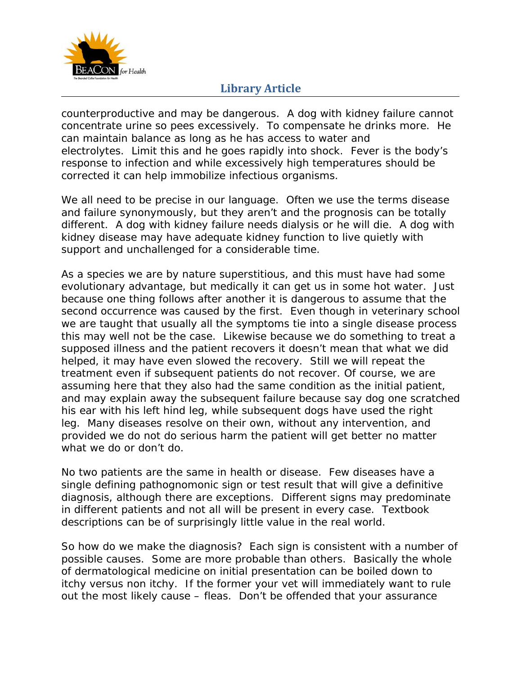

counterproductive and may be dangerous. A dog with kidney failure cannot concentrate urine so pees excessively. To compensate he drinks more. He can maintain balance as long as he has access to water and electrolytes. Limit this and he goes rapidly into shock. Fever is the body's response to infection and while excessively high temperatures should be corrected it can help immobilize infectious organisms.

We all need to be precise in our language. Often we use the terms disease and failure synonymously, but they aren't and the prognosis can be totally different. A dog with kidney failure needs dialysis or he will die. A dog with kidney disease may have adequate kidney function to live quietly with support and unchallenged for a considerable time.

As a species we are by nature superstitious, and this must have had some evolutionary advantage, but medically it can get us in some hot water. Just because one thing follows after another it is dangerous to assume that the second occurrence was caused by the first. Even though in veterinary school we are taught that usually all the symptoms tie into a single disease process this may well not be the case. Likewise because we do something to treat a supposed illness and the patient recovers it doesn't mean that what we did helped, it may have even slowed the recovery. Still we will repeat the treatment even if subsequent patients do not recover. Of course, we are assuming here that they also had the same condition as the initial patient, and may explain away the subsequent failure because say dog one scratched his ear with his left hind leg, while subsequent dogs have used the right leg. Many diseases resolve on their own, without any intervention, and provided we do not do serious harm the patient will get better no matter what we do or don't do.

No two patients are the same in health or disease. Few diseases have a single defining pathognomonic sign or test result that will give a definitive diagnosis, although there are exceptions. Different signs may predominate in different patients and not all will be present in every case. Textbook descriptions can be of surprisingly little value in the real world.

So how do we make the diagnosis? Each sign is consistent with a number of possible causes. Some are more probable than others. Basically the whole of dermatological medicine on initial presentation can be boiled down to itchy versus non itchy. If the former your vet will immediately want to rule out the most likely cause – fleas. Don't be offended that your assurance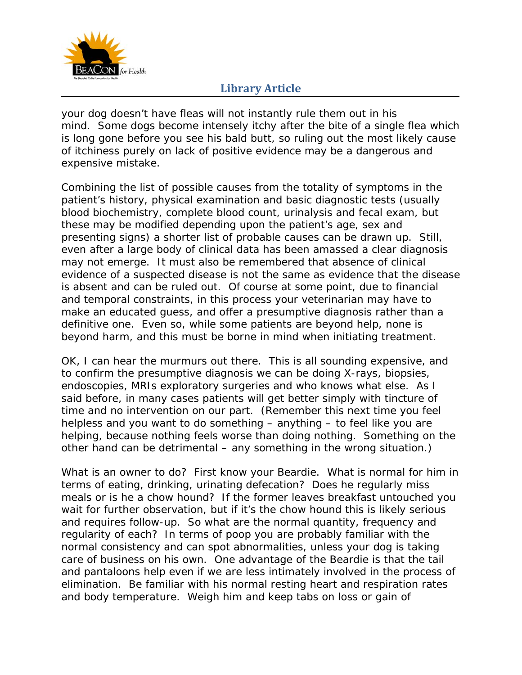

your dog doesn't have fleas will not instantly rule them out in his mind. Some dogs become intensely itchy after the bite of a single flea which is long gone before you see his bald butt, so ruling out the most likely cause of itchiness purely on lack of positive evidence may be a dangerous and expensive mistake.

Combining the list of possible causes from the totality of symptoms in the patient's history, physical examination and basic diagnostic tests (usually blood biochemistry, complete blood count, urinalysis and fecal exam, but these may be modified depending upon the patient's age, sex and presenting signs) a shorter list of probable causes can be drawn up. Still, even after a large body of clinical data has been amassed a clear diagnosis may not emerge. It must also be remembered that absence of clinical evidence of a suspected disease is not the same as evidence that the disease is absent and can be ruled out. Of course at some point, due to financial and temporal constraints, in this process your veterinarian may have to make an educated guess, and offer a presumptive diagnosis rather than a definitive one. Even so, while some patients are beyond help, none is beyond harm, and this must be borne in mind when initiating treatment.

OK, I can hear the murmurs out there. This is all sounding expensive, and to confirm the presumptive diagnosis we can be doing X-rays, biopsies, endoscopies, MRIs exploratory surgeries and who knows what else. As I said before, in many cases patients will get better simply with tincture of time and no intervention on our part. (Remember this next time you feel helpless and you want to do something – anything – to feel like you are helping, because nothing feels worse than doing nothing. Something on the other hand can be detrimental – any something in the wrong situation.)

What is an owner to do? First know your Beardie. What is normal for him in terms of eating, drinking, urinating defecation? Does he regularly miss meals or is he a chow hound? If the former leaves breakfast untouched you wait for further observation, but if it's the chow hound this is likely serious and requires follow-up. So what are the normal quantity, frequency and regularity of each? In terms of poop you are probably familiar with the normal consistency and can spot abnormalities, unless your dog is taking care of business on his own. One advantage of the Beardie is that the tail and pantaloons help even if we are less intimately involved in the process of elimination. Be familiar with his normal resting heart and respiration rates and body temperature. Weigh him and keep tabs on loss or gain of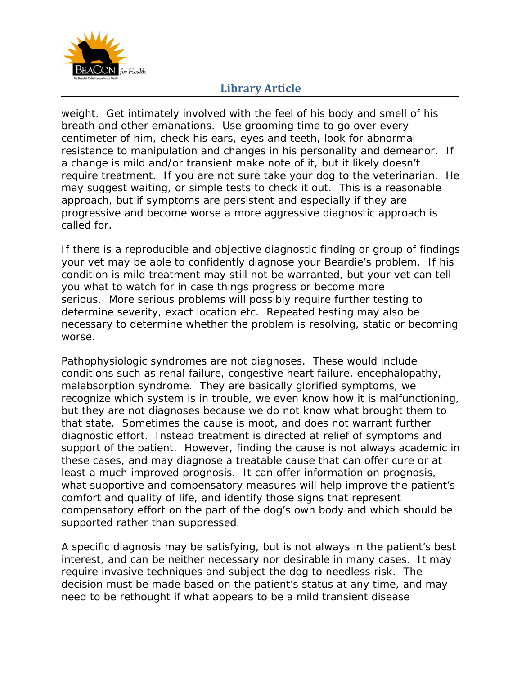

weight. Get intimately involved with the feel of his body and smell of his breath and other emanations. Use grooming time to go over every centimeter of him, check his ears, eyes and teeth, look for abnormal resistance to manipulation and changes in his personality and demeanor. If a change is mild and/or transient make note of it, but it likely doesn't require treatment. If you are not sure take your dog to the veterinarian. He may suggest waiting, or simple tests to check it out. This is a reasonable approach, but if symptoms are persistent and especially if they are progressive and become worse a more aggressive diagnostic approach is called for.

If there is a reproducible and objective diagnostic finding or group of findings your vet may be able to confidently diagnose your Beardie's problem. If his condition is mild treatment may still not be warranted, but your vet can tell you what to watch for in case things progress or become more serious. More serious problems will possibly require further testing to determine severity, exact location etc. Repeated testing may also be necessary to determine whether the problem is resolving, static or becoming worse.

Pathophysiologic syndromes are not diagnoses. These would include conditions such as renal failure, congestive heart failure, encephalopathy, malabsorption syndrome. They are basically glorified symptoms, we recognize which system is in trouble, we even know how it is malfunctioning, but they are not diagnoses because we do not know what brought them to that state. Sometimes the cause is moot, and does not warrant further diagnostic effort. Instead treatment is directed at relief of symptoms and support of the patient. However, finding the cause is not always academic in these cases, and may diagnose a treatable cause that can offer cure or at least a much improved prognosis. It can offer information on prognosis, what supportive and compensatory measures will help improve the patient's comfort and quality of life, and identify those signs that represent compensatory effort on the part of the dog's own body and which should be supported rather than suppressed.

A specific diagnosis may be satisfying, but is not always in the patient's best interest, and can be neither necessary nor desirable in many cases. It may require invasive techniques and subject the dog to needless risk. The decision must be made based on the patient's status at any time, and may need to be rethought if what appears to be a mild transient disease